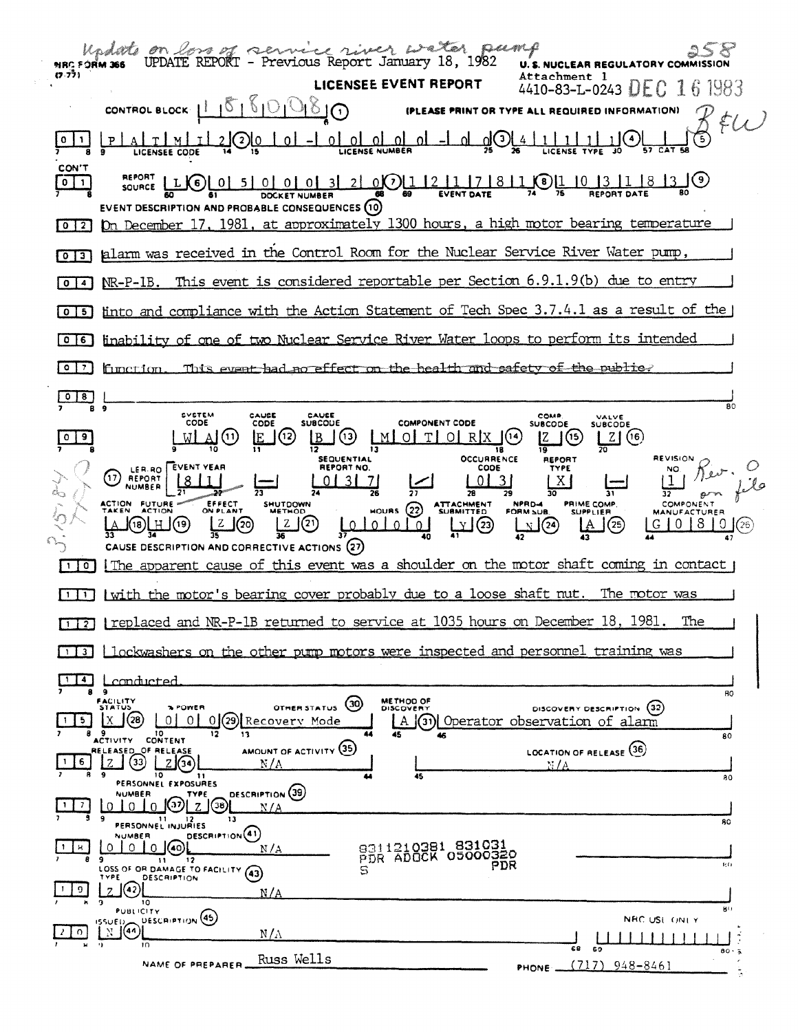| <b>NRC FÓRM 366</b>      | Undate on loss of service river water pump                                                                                                                                                                                                                                                                                                                                                                                           | <b>U.S. NUCLEAR REGULATORY COMM</b>                                                                                                |
|--------------------------|--------------------------------------------------------------------------------------------------------------------------------------------------------------------------------------------------------------------------------------------------------------------------------------------------------------------------------------------------------------------------------------------------------------------------------------|------------------------------------------------------------------------------------------------------------------------------------|
| (7.77)                   | <b>LICENSEE EVENT REPORT</b>                                                                                                                                                                                                                                                                                                                                                                                                         | Attachment 1<br>4410-83-L-0243 DEC 16 1983                                                                                         |
|                          | CONTROL BLOCK $1.15151000$                                                                                                                                                                                                                                                                                                                                                                                                           | (PLEASE PRINT OR TYPE ALL REQUIRED INFORMATION)                                                                                    |
|                          | TL20 <u>10   0   -  0   0   0   0   0   -  0   0</u>   0   -                                                                                                                                                                                                                                                                                                                                                                         | 85                                                                                                                                 |
| CON'T<br>$0$   1         | SOURCE LLG 0 5 0 0 0 0 3 2 0 0 1 2 1 7 8 1 $\frac{1}{24}$ 1 0 1 $\frac{1}{3}$ 1 8 1 $\frac{1}{2}$ 1 $\frac{1}{2}$ 8 $\frac{1}{2}$ 1 $\frac{1}{2}$ 1 $\frac{1}{2}$ 1 $\frac{1}{2}$ 1 $\frac{1}{2}$ 1 $\frac{1}{2}$ 1 $\frac{1}{2}$ 1 $\frac{1}{2}$ 1 $\frac{1}{2}$ 1 $\frac{1}{2}$ $\frac$<br>EVENT DESCRIPTION AND PROBABLE CONSEQUENCES (10)<br>On December 17, 1981, at approximately 1300 hours, a high motor bearing temperature |                                                                                                                                    |
| $0$   2                  |                                                                                                                                                                                                                                                                                                                                                                                                                                      |                                                                                                                                    |
| 3  <br>$\mathbf{o}$      | alarm was received in the Control Room for the Nuclear Service River Water pump,                                                                                                                                                                                                                                                                                                                                                     |                                                                                                                                    |
| $\blacktriangleleft$     | NR-P-1B. This event is considered reportable per Section 6.9.1.9(b) due to entry                                                                                                                                                                                                                                                                                                                                                     |                                                                                                                                    |
| -51<br>$\overline{0}$    | into and compliance with the Action Statement of Tech Spec 3.7.4.1 as a result of the                                                                                                                                                                                                                                                                                                                                                |                                                                                                                                    |
| l 0<br>  6               | inability of one of two Nuclear Service River Water loops to perform its intended                                                                                                                                                                                                                                                                                                                                                    |                                                                                                                                    |
| 0 7                      | function. This event had no effect on the health and safety of the public?                                                                                                                                                                                                                                                                                                                                                           |                                                                                                                                    |
| $\sqrt{8}$               |                                                                                                                                                                                                                                                                                                                                                                                                                                      | 80                                                                                                                                 |
| $\overline{\phantom{a}}$ | SYSTEM<br>CAUSE<br>CAUSE<br>CODE<br><b>COMPONENT CODE</b><br>CODE<br>SUBCOUE<br>$B(\theta)$ $M[\theta]$ $T[\theta]$ $R[X]$<br>$\mathbf{A}(\mathbf{u})$<br>(12)<br>lE.<br>(14)                                                                                                                                                                                                                                                        | <b>COMP.</b><br>VALVE<br><b>SUBCODE</b><br>SUBCODE<br>Z(6)                                                                         |
| 10<br>$\mathbf{I}$       | <b>OCCURRENCE</b><br>REPORT NO.<br>LER.RO EVENT YEAR<br>CODE<br>$(17)$ REPORT<br>$\sqrt{3}$<br>31/7<br>-01<br><b>NUMBER</b><br>ACTION FUTURE<br>EFFECT<br>ON PLANT<br>SHUTDOWN<br>HOURS 22 ATTACHMENT<br><u> [Z</u> JD<br>بقلتي والمتواطئ المتعاري<br><u> [Z</u> Q)<br>(9)[H](9)<br>CAUSE DESCRIPTION AND CORRECTIVE ACTIONS (27)<br>The apparent cause of this event was a shoulder on the motor shaft coming in contact            | <b>REVISION</b><br>REPORT<br><b>TYPE</b><br>  X  <br>PRIME COMP.<br>NPRD-4<br>FORM SUB<br>$\sqrt{25}$<br>$G [0 8] 0$ $(26)$<br>LA. |
| $\mathbf{1}$             | (with the motor's bearing cover probably due to a loose shaft nut. The motor was                                                                                                                                                                                                                                                                                                                                                     |                                                                                                                                    |
|                          | replaced and NR-P-1B returned to service at 1035 hours on December 18, 1981. The                                                                                                                                                                                                                                                                                                                                                     |                                                                                                                                    |
| 112<br>3 <sup>1</sup>    | lockwashers on the other pump motors were inspected and personnel training was                                                                                                                                                                                                                                                                                                                                                       |                                                                                                                                    |
| 4                        |                                                                                                                                                                                                                                                                                                                                                                                                                                      |                                                                                                                                    |
| 5<br>89                  | <u>conducted</u><br>۰<br><b>METHOD OF</b><br>FACILITY<br>(30)<br>STATUS<br><b>SPOWER</b><br>OTHER STATUS<br>DISCOVERY<br>(28)<br>01<br>$\Omega$<br>29) Recovery Mode<br>х<br>ΟI<br>l(31)l<br>A<br>10<br>12<br>13<br>45<br>CONTENT                                                                                                                                                                                                    | 80<br>DISCOVERY DESCRIPTION (32)<br>Operator observation of alarm<br>80                                                            |
| 6                        | <b>ACTIVITY</b><br>AMOUNT OF ACTIVITY (35)<br>RELEASED_OF RELEASE<br>33<br>N/A                                                                                                                                                                                                                                                                                                                                                       | LOCATION OF RELEASE (36)<br>N / A                                                                                                  |
|                          | 10<br>11<br>45<br>PERSONNEL EXPOSURES                                                                                                                                                                                                                                                                                                                                                                                                | 80                                                                                                                                 |
| 7                        | DESCRIPTION (39)<br><b>NUMBER</b><br>TYPE<br>(37<br>(38)<br>$Z_{\cdot}$<br>$\Omega$<br>n<br><sup>0</sup><br>N / A<br>۰<br>13<br>11<br>PERSONNEL INJURIES                                                                                                                                                                                                                                                                             | 80                                                                                                                                 |
| H.                       | DESCRIPTION <sup>(41)</sup><br><b>NUMBER</b><br>9311210381 831031<br>$\cap$ 1<br>O.<br>n.<br>40.<br>N / A<br>PDR ADOCK 05000320<br>۰<br>12<br>$\mathbf{11}$<br>PDR<br>LOSS OF OR DAMAGE TO FACILITY (43)<br>s<br>TYPE<br>DESCRIPTION                                                                                                                                                                                                 | tit i                                                                                                                              |
| o                        | 42<br>N/A<br>10<br><b>PUBLICITY</b>                                                                                                                                                                                                                                                                                                                                                                                                  | 80                                                                                                                                 |
| $\Omega$                 | DESCRIPTION <sup>(45)</sup><br><b>ISSUED</b><br>(44)<br>$N/\Lambda$                                                                                                                                                                                                                                                                                                                                                                  | NHC USE ONLY                                                                                                                       |
|                          | $\cdot$ )<br>m<br>Russ Wells<br>NAME OF PREPARER.                                                                                                                                                                                                                                                                                                                                                                                    | 68<br>69<br>80.5<br>(717)<br>948-8461                                                                                              |
|                          |                                                                                                                                                                                                                                                                                                                                                                                                                                      | PHONE.                                                                                                                             |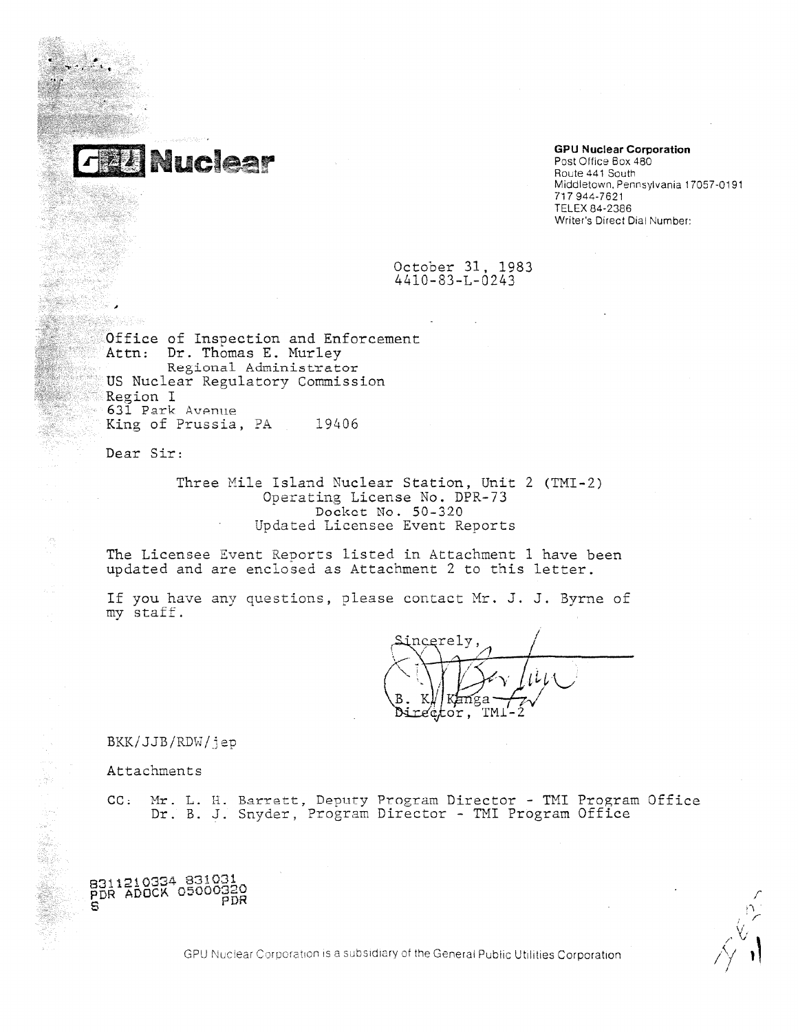

## **GPU Nuclear Corporation**

Route 441 South Middletown, Pennsylvania 17057-0191 717 944-7621 TELEX 84-2386 Writer's Direct Dial Number:

## October 31, 1983 4410-83-L-0243

Office of Inspection and Enforcement Attn: Dr. Thomas E. Murley Regional Administrator US Nuclear Regulatory Commission Region I 631 Park Avenue King of Prussia, PA 19406

Dear Sir:

Three Mile Island Nuclear Station, Unit 2 (TMI-2) Operating License No. DPR-73 Docket No. 50 -320 Updated Licensee Event Reports

The Licensee Event Reports listed in Attachment 1 have been updated and are enclosed as Attachment 2 to this letter.

If you have any questions, please contact Mr. J. J. Byrne of my staff

ncerely 77 *\_I*   $\mu$ *y* étor,

BKK/JJB/RDW/jep

Attachments

CC: Mr. L. R. Barratt, Deputy Program Director - TMI Program Office Dr. B. J. Snyder, Program Director - TMI Program Office



320<br>PDR<br>PDR ,'-■  $\frac{1}{2}$  $\sim$   $\vee$  $\frac{1}{\sqrt{2}}$ 

GPU Nuclear Corporation is a subsidiary of the General Public Utilities Corporation